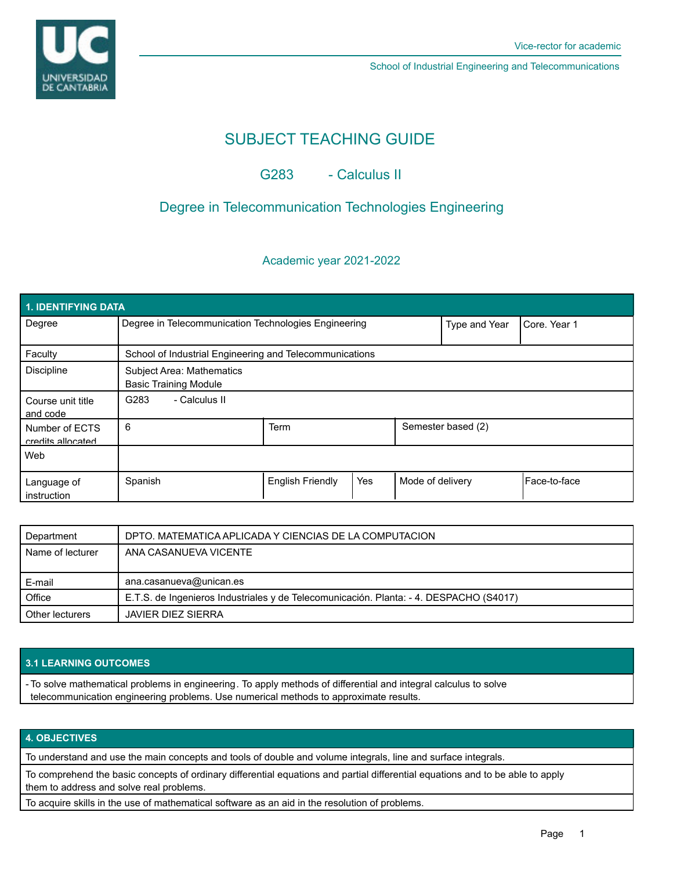

School of Industrial Engineering and Telecommunications

# SUBJECT TEACHING GUIDE

## G283 - Calculus II

## Degree in Telecommunication Technologies Engineering

## Academic year 2021-2022

| 1. IDENTIFYING DATA                 |                                                                  |                         |     |                  |                    |              |  |  |  |
|-------------------------------------|------------------------------------------------------------------|-------------------------|-----|------------------|--------------------|--------------|--|--|--|
| Degree                              | Degree in Telecommunication Technologies Engineering             |                         |     | Type and Year    | Core, Year 1       |              |  |  |  |
| Faculty                             | School of Industrial Engineering and Telecommunications          |                         |     |                  |                    |              |  |  |  |
| <b>Discipline</b>                   | <b>Subject Area: Mathematics</b><br><b>Basic Training Module</b> |                         |     |                  |                    |              |  |  |  |
| Course unit title<br>and code       | G283<br>- Calculus II                                            |                         |     |                  |                    |              |  |  |  |
| Number of ECTS<br>credits allocated | 6                                                                | <b>Term</b>             |     |                  | Semester based (2) |              |  |  |  |
| Web                                 |                                                                  |                         |     |                  |                    |              |  |  |  |
| Language of<br>instruction          | Spanish                                                          | <b>English Friendly</b> | Yes | Mode of delivery |                    | Face-to-face |  |  |  |

| Department       | DPTO. MATEMATICA APLICADA Y CIENCIAS DE LA COMPUTACION                                 |  |  |
|------------------|----------------------------------------------------------------------------------------|--|--|
| Name of lecturer | ANA CASANUEVA VICENTE                                                                  |  |  |
|                  |                                                                                        |  |  |
|                  |                                                                                        |  |  |
| E-mail           | ana.casanueva@unican.es                                                                |  |  |
| Office           | E.T.S. de Ingenieros Industriales y de Telecomunicación. Planta: - 4. DESPACHO (S4017) |  |  |

### **3.1 LEARNING OUTCOMES**

- To solve mathematical problems in engineering. To apply methods of differential and integral calculus to solve telecommunication engineering problems. Use numerical methods to approximate results.

## **4. OBJECTIVES**

To understand and use the main concepts and tools of double and volume integrals, line and surface integrals.

To comprehend the basic concepts of ordinary differential equations and partial differential equations and to be able to apply them to address and solve real problems.

To acquire skills in the use of mathematical software as an aid in the resolution of problems.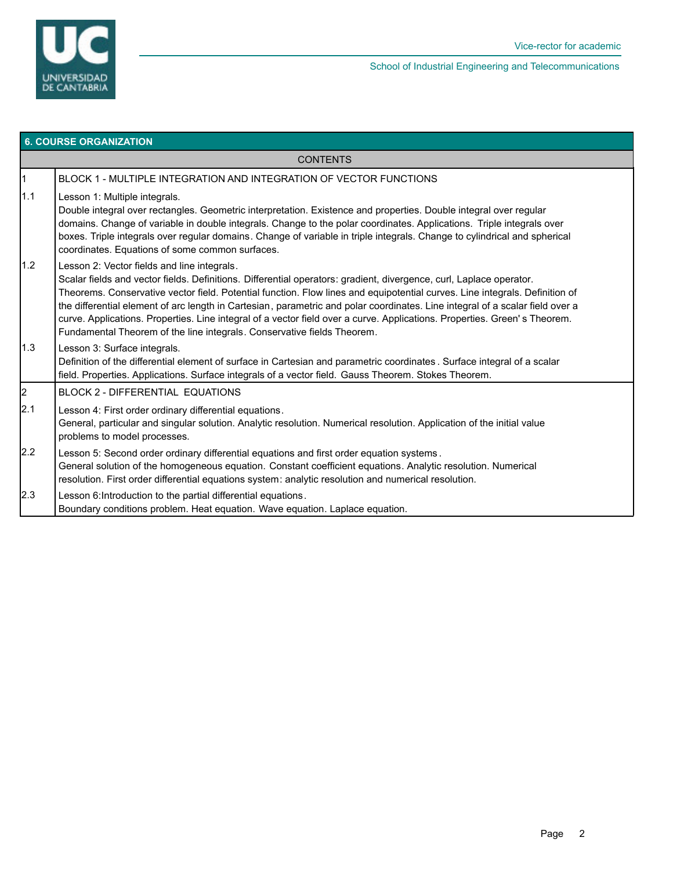

| <b>6. COURSE ORGANIZATION</b> |                                                                                                                                                                                                                                                                                                                                                                                                                                                                                                                                                                                                                                            |  |  |  |  |
|-------------------------------|--------------------------------------------------------------------------------------------------------------------------------------------------------------------------------------------------------------------------------------------------------------------------------------------------------------------------------------------------------------------------------------------------------------------------------------------------------------------------------------------------------------------------------------------------------------------------------------------------------------------------------------------|--|--|--|--|
| <b>CONTENTS</b>               |                                                                                                                                                                                                                                                                                                                                                                                                                                                                                                                                                                                                                                            |  |  |  |  |
| $\overline{1}$                | BLOCK 1 - MULTIPLE INTEGRATION AND INTEGRATION OF VECTOR FUNCTIONS                                                                                                                                                                                                                                                                                                                                                                                                                                                                                                                                                                         |  |  |  |  |
| 1.1                           | Lesson 1: Multiple integrals.<br>Double integral over rectangles. Geometric interpretation. Existence and properties. Double integral over regular<br>domains. Change of variable in double integrals. Change to the polar coordinates. Applications. Triple integrals over<br>boxes. Triple integrals over regular domains. Change of variable in triple integrals. Change to cylindrical and spherical<br>coordinates. Equations of some common surfaces.                                                                                                                                                                                |  |  |  |  |
| 1.2                           | Lesson 2: Vector fields and line integrals.<br>Scalar fields and vector fields. Definitions. Differential operators: gradient, divergence, curl, Laplace operator.<br>Theorems. Conservative vector field. Potential function. Flow lines and equipotential curves. Line integrals. Definition of<br>the differential element of arc length in Cartesian, parametric and polar coordinates. Line integral of a scalar field over a<br>curve. Applications. Properties. Line integral of a vector field over a curve. Applications. Properties. Green's Theorem.<br>Fundamental Theorem of the line integrals. Conservative fields Theorem. |  |  |  |  |
| 1.3                           | Lesson 3: Surface integrals.<br>Definition of the differential element of surface in Cartesian and parametric coordinates. Surface integral of a scalar<br>field. Properties. Applications. Surface integrals of a vector field. Gauss Theorem. Stokes Theorem.                                                                                                                                                                                                                                                                                                                                                                            |  |  |  |  |
| $\vert$ <sub>2</sub>          | <b>BLOCK 2 - DIFFERENTIAL EQUATIONS</b>                                                                                                                                                                                                                                                                                                                                                                                                                                                                                                                                                                                                    |  |  |  |  |
| 2.1                           | Lesson 4: First order ordinary differential equations.<br>General, particular and singular solution. Analytic resolution. Numerical resolution. Application of the initial value<br>problems to model processes.                                                                                                                                                                                                                                                                                                                                                                                                                           |  |  |  |  |
| 2.2                           | Lesson 5: Second order ordinary differential equations and first order equation systems.<br>General solution of the homogeneous equation. Constant coefficient equations. Analytic resolution. Numerical<br>resolution. First order differential equations system: analytic resolution and numerical resolution.                                                                                                                                                                                                                                                                                                                           |  |  |  |  |
| 2.3                           | Lesson 6: Introduction to the partial differential equations.<br>Boundary conditions problem. Heat equation. Wave equation. Laplace equation.                                                                                                                                                                                                                                                                                                                                                                                                                                                                                              |  |  |  |  |